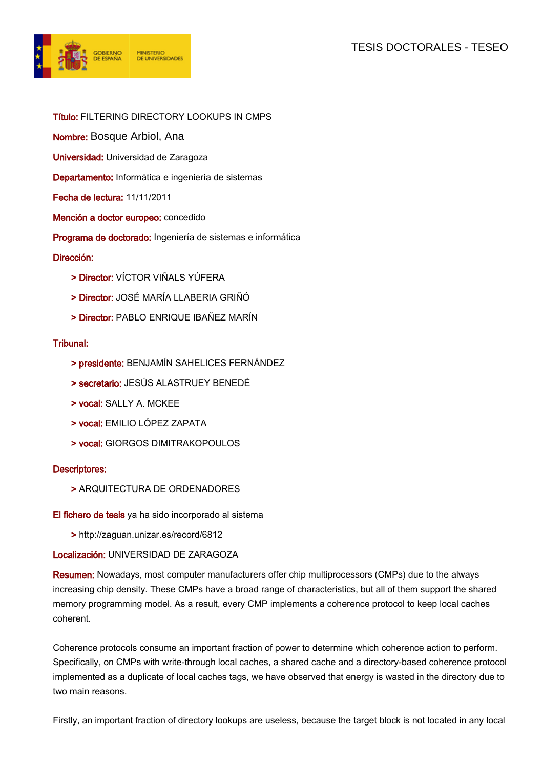# TESIS DOCTORALES - TESEO



- Título: FILTERING DIRECTORY LOOKUPS IN CMPS
- Nombre: Bosque Arbiol, Ana
- Universidad: Universidad de Zaragoza
- Departamento: Informática e ingeniería de sistemas
- Fecha de lectura: 11/11/2011
- Mención a doctor europeo: concedido
- Programa de doctorado: Ingeniería de sistemas e informática

### Dirección:

- > Director: VÍCTOR VIÑALS YÚFERA
- > Director: JOSÉ MARÍA LLABERIA GRIÑÓ
- > Director: PABLO ENRIQUE IBAÑEZ MARÍN

### Tribunal:

- > presidente: BENJAMÍN SAHELICES FERNÁNDEZ
- > secretario: JESÚS ALASTRUEY BENEDÉ
- > vocal: SALLY A. MCKEE
- > vocal: EMILIO LÓPEZ ZAPATA
- > vocal: GIORGOS DIMITRAKOPOULOS

#### Descriptores:

> ARQUITECTURA DE ORDENADORES

El fichero de tesis ya ha sido incorporado al sistema

> http://zaguan.unizar.es/record/6812

## Localización: UNIVERSIDAD DE ZARAGOZA

Resumen: Nowadays, most computer manufacturers offer chip multiprocessors (CMPs) due to the always increasing chip density. These CMPs have a broad range of characteristics, but all of them support the shared memory programming model. As a result, every CMP implements a coherence protocol to keep local caches coherent.

Coherence protocols consume an important fraction of power to determine which coherence action to perform. Specifically, on CMPs with write-through local caches, a shared cache and a directory-based coherence protocol implemented as a duplicate of local caches tags, we have observed that energy is wasted in the directory due to two main reasons.

Firstly, an important fraction of directory lookups are useless, because the target block is not located in any local